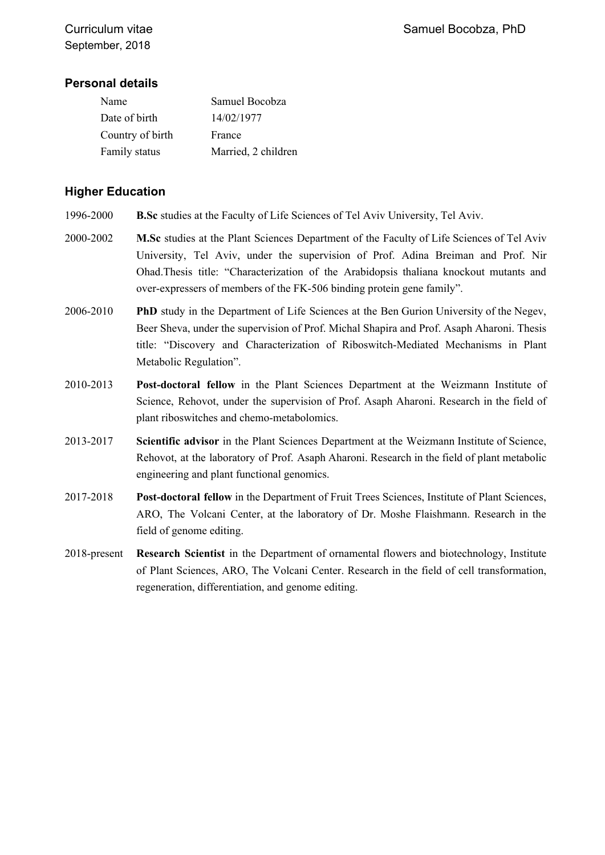## **Personal details**

| Name             | Samuel Bocobza      |
|------------------|---------------------|
| Date of birth    | 14/02/1977          |
| Country of birth | France              |
| Family status    | Married, 2 children |

## **Higher Education**

- 1996-2000 **B.Sc** studies at the Faculty of Life Sciences of Tel Aviv University, Tel Aviv.
- 2000-2002 **M.Sc** studies at the Plant Sciences Department of the Faculty of Life Sciences of Tel Aviv University, Tel Aviv, under the supervision of Prof. Adina Breiman and Prof. Nir Ohad.Thesis title: "Characterization of the Arabidopsis thaliana knockout mutants and over-expressers of members of the FK-506 binding protein gene family".
- 2006-2010 **PhD** study in the Department of Life Sciences at the Ben Gurion University of the Negev, Beer Sheva, under the supervision of Prof. Michal Shapira and Prof. Asaph Aharoni. Thesis title: "Discovery and Characterization of Riboswitch-Mediated Mechanisms in Plant Metabolic Regulation".
- 2010-2013 **Post-doctoral fellow** in the Plant Sciences Department at the Weizmann Institute of Science, Rehovot, under the supervision of Prof. Asaph Aharoni. Research in the field of plant riboswitches and chemo-metabolomics.
- 2013-2017 **Scientific advisor** in the Plant Sciences Department at the Weizmann Institute of Science, Rehovot, at the laboratory of Prof. Asaph Aharoni. Research in the field of plant metabolic engineering and plant functional genomics.
- 2017-2018 **Post-doctoral fellow** in the Department of Fruit Trees Sciences, Institute of Plant Sciences, ARO, The Volcani Center, at the laboratory of Dr. Moshe Flaishmann. Research in the field of genome editing.
- 2018-present **Research Scientist** in the Department of ornamental flowers and biotechnology, Institute of Plant Sciences, ARO, The Volcani Center. Research in the field of cell transformation, regeneration, differentiation, and genome editing.